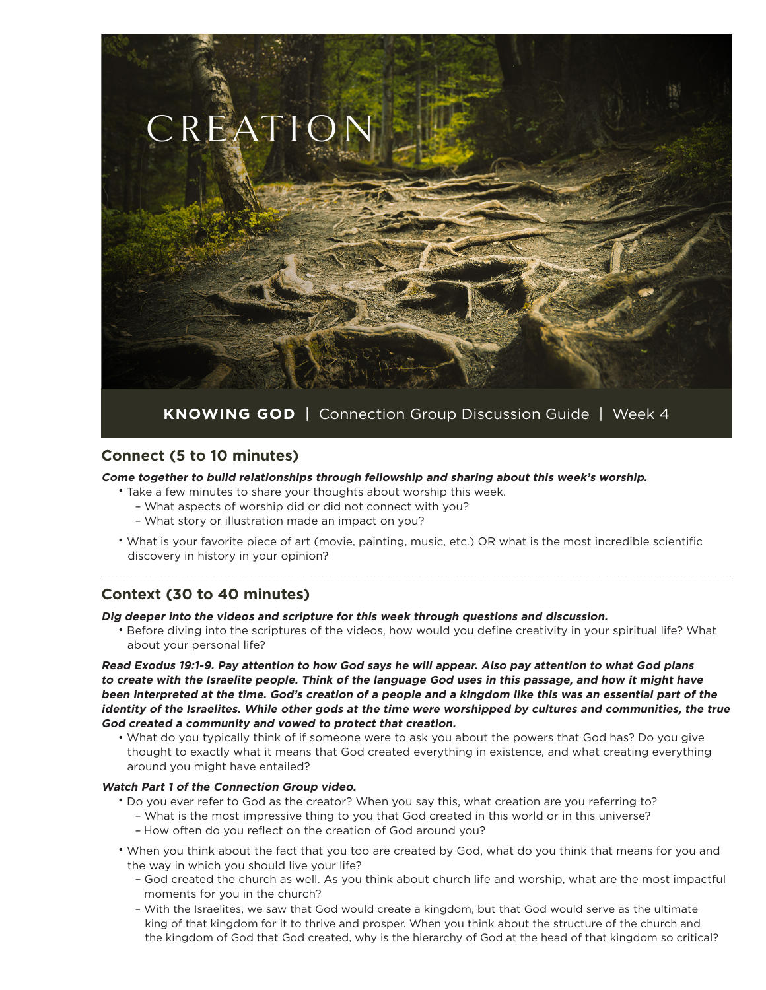

### **Connect (5 to 10 minutes)**

**Come together to build relationships through fellowship and sharing about this week's worship.**

- Take a few minutes to share your thoughts about worship this week.
	- What aspects of worship did or did not connect with you?
	- What story or illustration made an impact on you?
- What is your favorite piece of art (movie, painting, music, etc.) OR what is the most incredible scientific discovery in history in your opinion?

\_\_\_\_\_\_\_\_\_\_\_\_\_\_\_\_\_\_\_\_\_\_\_\_\_\_\_\_\_\_\_\_\_\_\_\_\_\_\_\_\_\_\_\_\_\_\_\_\_\_\_\_\_\_\_\_\_\_\_\_\_\_\_\_\_\_\_\_\_\_\_\_\_\_\_\_\_\_\_\_\_\_\_\_\_\_\_\_\_\_\_\_\_\_\_\_\_\_\_\_\_\_\_\_\_\_\_\_\_\_\_\_\_\_\_\_\_\_\_\_\_\_\_\_\_\_\_\_\_\_\_\_\_\_\_\_\_\_\_\_\_\_\_\_\_\_\_\_\_\_\_\_\_\_\_\_\_\_\_\_\_\_\_\_\_\_\_\_

# **Context (30 to 40 minutes)**

**Dig deeper into the videos and scripture for this week through questions and discussion.**

• Before diving into the scriptures of the videos, how would you define creativity in your spiritual life? What about your personal life?

**Read Exodus 19:1-9. Pay attention to how God says he will appear. Also pay attention to what God plans to create with the Israelite people. Think of the language God uses in this passage, and how it might have been interpreted at the time. God's creation of a people and a kingdom like this was an essential part of the identity of the Israelites. While other gods at the time were worshipped by cultures and communities, the true God created a community and vowed to protect that creation.**

• What do you typically think of if someone were to ask you about the powers that God has? Do you give thought to exactly what it means that God created everything in existence, and what creating everything around you might have entailed?

#### **Watch Part 1 of the Connection Group video.**

- Do you ever refer to God as the creator? When you say this, what creation are you referring to?
	- What is the most impressive thing to you that God created in this world or in this universe?
	- How often do you reflect on the creation of God around you?
- When you think about the fact that you too are created by God, what do you think that means for you and the way in which you should live your life?
	- God created the church as well. As you think about church life and worship, what are the most impactful moments for you in the church?
	- With the Israelites, we saw that God would create a kingdom, but that God would serve as the ultimate king of that kingdom for it to thrive and prosper. When you think about the structure of the church and the kingdom of God that God created, why is the hierarchy of God at the head of that kingdom so critical?